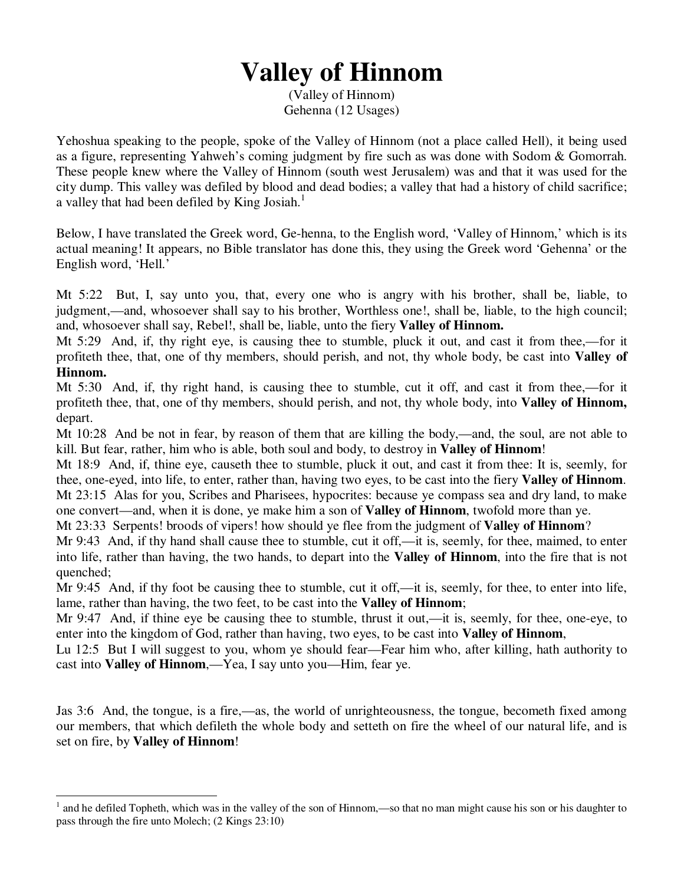## **Valley of Hinnom**

(Valley of Hinnom) Gehenna (12 Usages)

Yehoshua speaking to the people, spoke of the Valley of Hinnom (not a place called Hell), it being used as a figure, representing Yahweh's coming judgment by fire such as was done with Sodom & Gomorrah. These people knew where the Valley of Hinnom (south west Jerusalem) was and that it was used for the city dump. This valley was defiled by blood and dead bodies; a valley that had a history of child sacrifice; a valley that had been defiled by King Josiah.<sup>1</sup>

Below, I have translated the Greek word, Ge-henna, to the English word, 'Valley of Hinnom,' which is its actual meaning! It appears, no Bible translator has done this, they using the Greek word 'Gehenna' or the English word, 'Hell.'

Mt 5:22 But, I, say unto you, that, every one who is angry with his brother, shall be, liable, to judgment,—and, whosoever shall say to his brother, Worthless one!, shall be, liable, to the high council; and, whosoever shall say, Rebel!, shall be, liable, unto the fiery **Valley of Hinnom.**

Mt 5:29 And, if, thy right eye, is causing thee to stumble, pluck it out, and cast it from thee,—for it profiteth thee, that, one of thy members, should perish, and not, thy whole body, be cast into **Valley of Hinnom.**

Mt 5:30 And, if, thy right hand, is causing thee to stumble, cut it off, and cast it from thee,—for it profiteth thee, that, one of thy members, should perish, and not, thy whole body, into **Valley of Hinnom,** depart.

Mt 10:28 And be not in fear, by reason of them that are killing the body,—and, the soul, are not able to kill. But fear, rather, him who is able, both soul and body, to destroy in **Valley of Hinnom**!

Mt 18:9 And, if, thine eye, causeth thee to stumble, pluck it out, and cast it from thee: It is, seemly, for thee, one-eyed, into life, to enter, rather than, having two eyes, to be cast into the fiery **Valley of Hinnom**. Mt 23:15 Alas for you, Scribes and Pharisees, hypocrites: because ye compass sea and dry land, to make one convert—and, when it is done, ye make him a son of **Valley of Hinnom**, twofold more than ye.

Mt 23:33 Serpents! broods of vipers! how should ye flee from the judgment of **Valley of Hinnom**?

Mr 9:43 And, if thy hand shall cause thee to stumble, cut it off,—it is, seemly, for thee, maimed, to enter into life, rather than having, the two hands, to depart into the **Valley of Hinnom**, into the fire that is not quenched;

Mr 9:45 And, if thy foot be causing thee to stumble, cut it off,—it is, seemly, for thee, to enter into life, lame, rather than having, the two feet, to be cast into the **Valley of Hinnom**;

Mr 9:47 And, if thine eye be causing thee to stumble, thrust it out,—it is, seemly, for thee, one-eye, to enter into the kingdom of God, rather than having, two eyes, to be cast into **Valley of Hinnom**,

Lu 12:5 But I will suggest to you, whom ye should fear—Fear him who, after killing, hath authority to cast into **Valley of Hinnom**,—Yea, I say unto you—Him, fear ye.

Jas 3:6 And, the tongue, is a fire,—as, the world of unrighteousness, the tongue, becometh fixed among our members, that which defileth the whole body and setteth on fire the wheel of our natural life, and is set on fire, by **Valley of Hinnom**!

 $\overline{a}$ 

<sup>1</sup> and he defiled Topheth, which was in the valley of the son of Hinnom,—so that no man might cause his son or his daughter to pass through the fire unto Molech; (2 Kings 23:10)